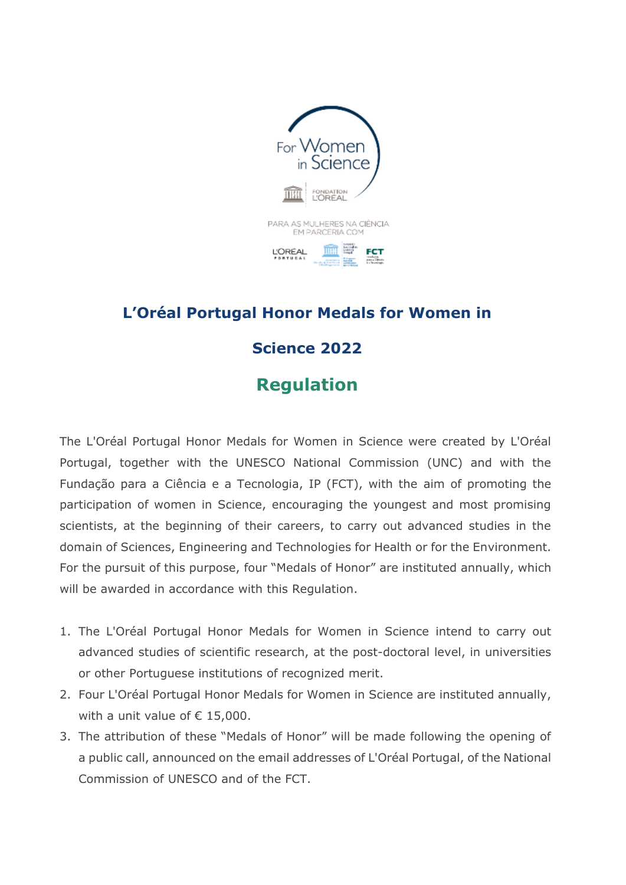

## **L'Oréal Portugal Honor Medals for Women in Science 2022**

**Regulation**

The L'Oréal Portugal Honor Medals for Women in Science were created by L'Oréal Portugal, together with the UNESCO National Commission (UNC) and with the Fundação para a Ciência e a Tecnologia, IP (FCT), with the aim of promoting the participation of women in Science, encouraging the youngest and most promising scientists, at the beginning of their careers, to carry out advanced studies in the domain of Sciences, Engineering and Technologies for Health or for the Environment. For the pursuit of this purpose, four "Medals of Honor" are instituted annually, which will be awarded in accordance with this Regulation.

- 1. The L'Oréal Portugal Honor Medals for Women in Science intend to carry out advanced studies of scientific research, at the post-doctoral level, in universities or other Portuguese institutions of recognized merit.
- 2. Four L'Oréal Portugal Honor Medals for Women in Science are instituted annually, with a unit value of  $\epsilon$  15,000.
- 3. The attribution of these "Medals of Honor" will be made following the opening of a public call, announced on the email addresses of L'Oréal Portugal, of the National Commission of UNESCO and of the FCT.